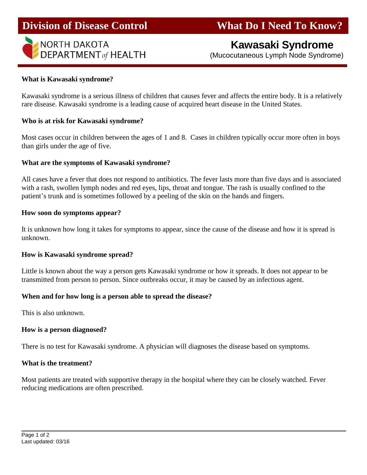

# **Division of Disease Control What Do I Need To Know?**

# **Kawasaki Syndrome**

(Mucocutaneous Lymph Node Syndrome)

#### **What is Kawasaki syndrome?**

Kawasaki syndrome is a serious illness of children that causes fever and affects the entire body. It is a relatively rare disease. Kawasaki syndrome is a leading cause of acquired heart disease in the United States.

#### **Who is at risk for Kawasaki syndrome?**

Most cases occur in children between the ages of 1 and 8. Cases in children typically occur more often in boys than girls under the age of five.

#### **What are the symptoms of Kawasaki syndrome?**

All cases have a fever that does not respond to antibiotics. The fever lasts more than five days and is associated with a rash, swollen lymph nodes and red eyes, lips, throat and tongue. The rash is usually confined to the patient's trunk and is sometimes followed by a peeling of the skin on the hands and fingers.

#### **How soon do symptoms appear?**

It is unknown how long it takes for symptoms to appear, since the cause of the disease and how it is spread is unknown.

#### **How is Kawasaki syndrome spread?**

Little is known about the way a person gets Kawasaki syndrome or how it spreads. It does not appear to be transmitted from person to person. Since outbreaks occur, it may be caused by an infectious agent.

#### **When and for how long is a person able to spread the disease?**

This is also unknown.

#### **How is a person diagnosed?**

There is no test for Kawasaki syndrome. A physician will diagnoses the disease based on symptoms.

#### **What is the treatment?**

Most patients are treated with supportive therapy in the hospital where they can be closely watched. Fever reducing medications are often prescribed.